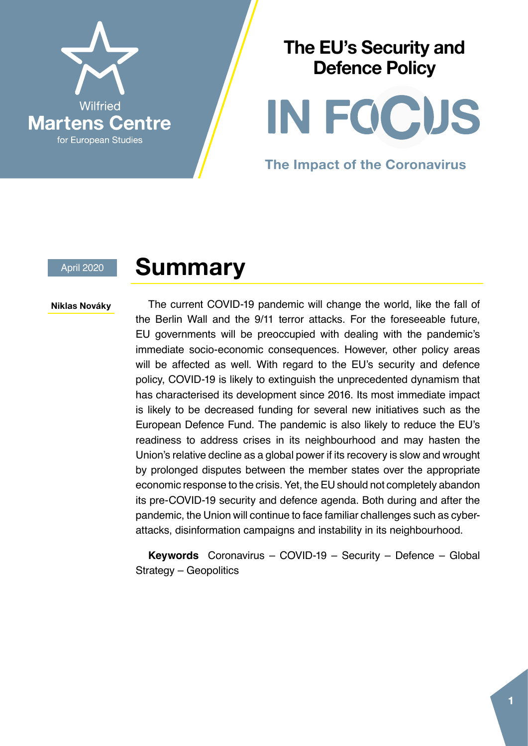

#### **The EU's Security and Defence Policy**

IN FOCUS

**The Impact of the Coronavirus**

#### April 2020

#### **Summary**

#### Niklas Nováky

The current COVID-19 pandemic will change the world, like the fall of the Berlin Wall and the 9/11 terror attacks. For the foreseeable future, EU governments will be preoccupied with dealing with the pandemic's immediate socio-economic consequences. However, other policy areas will be affected as well. With regard to the EU's security and defence policy, COVID-19 is likely to extinguish the unprecedented dynamism that has characterised its development since 2016. Its most immediate impact is likely to be decreased funding for several new initiatives such as the European Defence Fund. The pandemic is also likely to reduce the EU's readiness to address crises in its neighbourhood and may hasten the Union's relative decline as a global power if its recovery is slow and wrought by prolonged disputes between the member states over the appropriate economic response to the crisis. Yet, the EU should not completely abandon its pre-COVID-19 security and defence agenda. Both during and after the pandemic, the Union will continue to face familiar challenges such as cyberattacks, disinformation campaigns and instability in its neighbourhood.

**Keywords** Coronavirus – COVID-19 – Security – Defence – Global Strategy – Geopolitics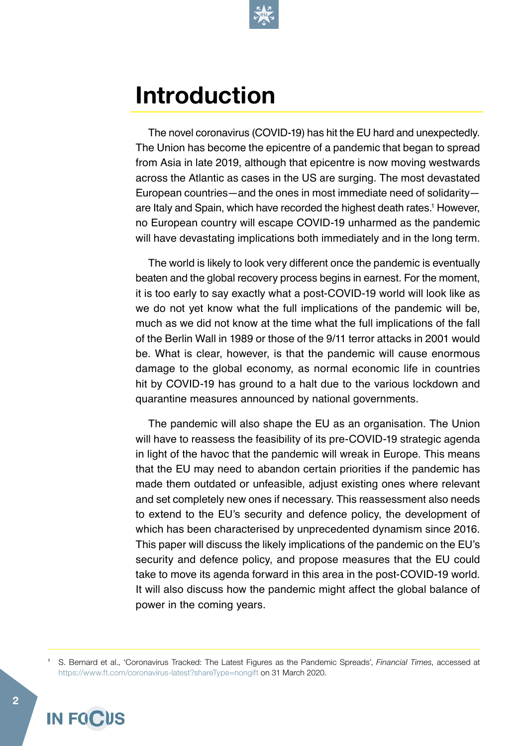

#### **Introduction**

The novel coronavirus (COVID-19) has hit the EU hard and unexpectedly. The Union has become the epicentre of a pandemic that began to spread from Asia in late 2019, although that epicentre is now moving westwards across the Atlantic as cases in the US are surging. The most devastated European countries—and the ones in most immediate need of solidarity are Italy and Spain, which have recorded the highest death rates.<sup>1</sup> However, no European country will escape COVID-19 unharmed as the pandemic will have devastating implications both immediately and in the long term.

The world is likely to look very different once the pandemic is eventually beaten and the global recovery process begins in earnest. For the moment, it is too early to say exactly what a post-COVID-19 world will look like as we do not yet know what the full implications of the pandemic will be, much as we did not know at the time what the full implications of the fall of the Berlin Wall in 1989 or those of the 9/11 terror attacks in 2001 would be. What is clear, however, is that the pandemic will cause enormous damage to the global economy, as normal economic life in countries hit by COVID-19 has ground to a halt due to the various lockdown and quarantine measures announced by national governments.

The pandemic will also shape the EU as an organisation. The Union will have to reassess the feasibility of its pre-COVID-19 strategic agenda in light of the havoc that the pandemic will wreak in Europe. This means that the EU may need to abandon certain priorities if the pandemic has made them outdated or unfeasible, adjust existing ones where relevant and set completely new ones if necessary. This reassessment also needs to extend to the EU's security and defence policy, the development of which has been characterised by unprecedented dynamism since 2016. This paper will discuss the likely implications of the pandemic on the EU's security and defence policy, and propose measures that the EU could take to move its agenda forward in this area in the post-COVID-19 world. It will also discuss how the pandemic might affect the global balance of power in the coming years.

<sup>1</sup> S. Bernard et al., 'Coronavirus Tracked: The Latest Figures as the Pandemic Spreads', *Financial Times*, accessed at <https://www.ft.com/coronavirus-latest?shareType=nongift>on 31 March 2020.

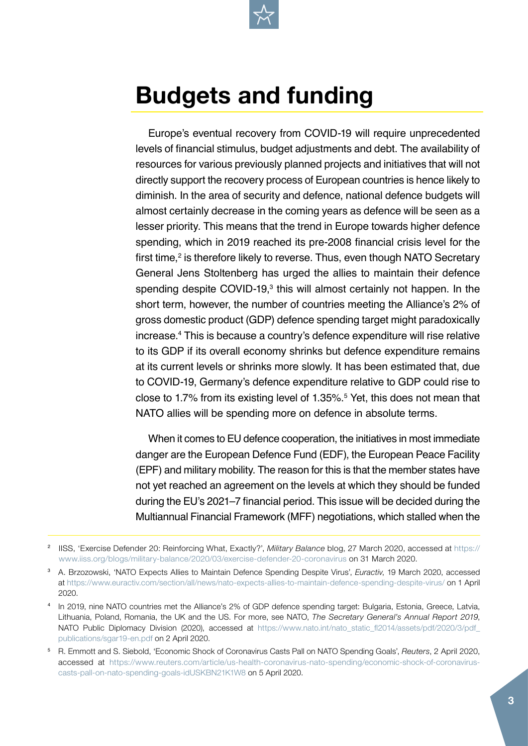

## **Budgets and funding**

Europe's eventual recovery from COVID-19 will require unprecedented levels of financial stimulus, budget adjustments and debt. The availability of resources for various previously planned projects and initiatives that will not directly support the recovery process of European countries is hence likely to diminish. In the area of security and defence, national defence budgets will almost certainly decrease in the coming years as defence will be seen as a lesser priority. This means that the trend in Europe towards higher defence spending, which in 2019 reached its pre-2008 financial crisis level for the first time,<sup>2</sup> is therefore likely to reverse. Thus, even though NATO Secretary General Jens Stoltenberg has urged the allies to maintain their defence spending despite COVID-19,<sup>3</sup> this will almost certainly not happen. In the short term, however, the number of countries meeting the Alliance's 2% of gross domestic product (GDP) defence spending target might paradoxically increase.4 This is because a country's defence expenditure will rise relative to its GDP if its overall economy shrinks but defence expenditure remains at its current levels or shrinks more slowly. It has been estimated that, due to COVID-19, Germany's defence expenditure relative to GDP could rise to close to 1.7% from its existing level of 1.35%.5 Yet, this does not mean that NATO allies will be spending more on defence in absolute terms.

When it comes to EU defence cooperation, the initiatives in most immediate danger are the European Defence Fund (EDF), the European Peace Facility (EPF) and military mobility. The reason for this is that the member states have not yet reached an agreement on the levels at which they should be funded during the EU's 2021–7 financial period. This issue will be decided during the Multiannual Financial Framework (MFF) negotiations, which stalled when the

<sup>2</sup> IISS, 'Exercise Defender 20: Reinforcing What, Exactly?', *Military Balance* blog, 27 March 2020, accessed at [https://](https://www.iiss.org/blogs/military-balance/2020/03/exercise-defender-20-coronavirus) [www.iiss.org/blogs/military-balance/2020/03/exercise-defender-20-coronavirus](https://www.iiss.org/blogs/military-balance/2020/03/exercise-defender-20-coronavirus) on 31 March 2020.

<sup>3</sup> A. Brzozowski, 'NATO Expects Allies to Maintain Defence Spending Despite Virus', *Euractiv*, 19 March 2020, accessed at <https://www.euractiv.com/section/all/news/nato-expects-allies-to-maintain-defence-spending-despite-virus/>on 1 April 2020.

<sup>4</sup> In 2019, nine NATO countries met the Alliance's 2% of GDP defence spending target: Bulgaria, Estonia, Greece, Latvia, Lithuania, Poland, Romania, the UK and the US. For more, see NATO, *The Secretary General's Annual Report 2019*, NATO Public Diplomacy Division (2020), accessed at [https://www.nato.int/nato\\_static\\_fl2014/assets/pdf/2020/3/pdf\\_](https://www.nato.int/nato_static_fl2014/assets/pdf/2020/3/pdf_publications/sgar19-en.pdf) [publications/sgar19-en.pdf](https://www.nato.int/nato_static_fl2014/assets/pdf/2020/3/pdf_publications/sgar19-en.pdf) on 2 April 2020.

<sup>5</sup> R. Emmott and S. Siebold, 'Economic Shock of Coronavirus Casts Pall on NATO Spending Goals', *Reuters*, 2 April 2020, accessed at [https://www.reuters.com/article/us-health-coronavirus-nato-spending/economic-shock-of-coronavirus](https://www.reuters.com/article/us-health-coronavirus-nato-spending/economic-shock-of-coronavirus-casts-pall-on-nato-spending-goals-idUSKBN21K1W8)[casts-pall-on-nato-spending-goals-idUSKBN21K1W8](https://www.reuters.com/article/us-health-coronavirus-nato-spending/economic-shock-of-coronavirus-casts-pall-on-nato-spending-goals-idUSKBN21K1W8) on 5 April 2020.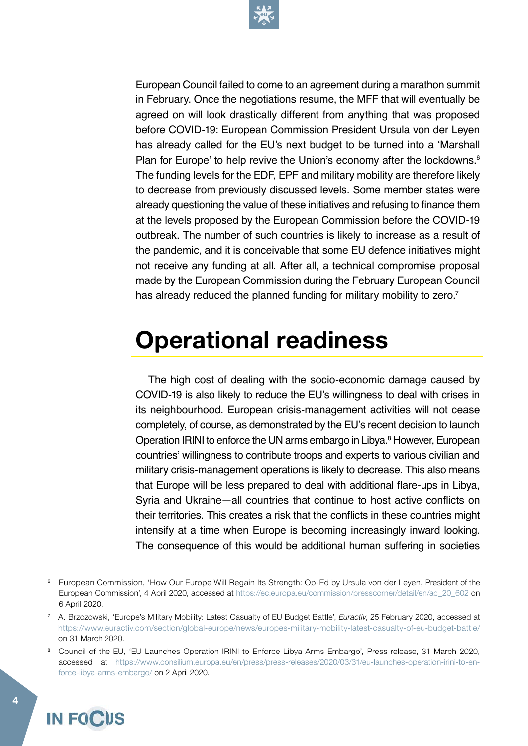

European Council failed to come to an agreement during a marathon summit in February. Once the negotiations resume, the MFF that will eventually be agreed on will look drastically different from anything that was proposed before COVID-19: European Commission President Ursula von der Leyen has already called for the EU's next budget to be turned into a 'Marshall Plan for Europe' to help revive the Union's economy after the lockdowns.<sup>6</sup> The funding levels for the EDF, EPF and military mobility are therefore likely to decrease from previously discussed levels. Some member states were already questioning the value of these initiatives and refusing to finance them at the levels proposed by the European Commission before the COVID-19 outbreak. The number of such countries is likely to increase as a result of the pandemic, and it is conceivable that some EU defence initiatives might not receive any funding at all. After all, a technical compromise proposal made by the European Commission during the February European Council has already reduced the planned funding for military mobility to zero.<sup>7</sup>

#### **Operational readiness**

The high cost of dealing with the socio-economic damage caused by COVID-19 is also likely to reduce the EU's willingness to deal with crises in its neighbourhood. European crisis-management activities will not cease completely, of course, as demonstrated by the EU's recent decision to launch Operation IRINI to enforce the UN arms embargo in Libya.<sup>8</sup> However, European countries' willingness to contribute troops and experts to various civilian and military crisis-management operations is likely to decrease. This also means that Europe will be less prepared to deal with additional flare-ups in Libya, Syria and Ukraine—all countries that continue to host active conflicts on their territories. This creates a risk that the conflicts in these countries might intensify at a time when Europe is becoming increasingly inward looking. The consequence of this would be additional human suffering in societies

<sup>8</sup> Council of the EU, 'EU Launches Operation IRINI to Enforce Libya Arms Embargo', Press release, 31 March 2020, accessed at [https://www.consilium.europa.eu/en/press/press-releases/2020/03/31/eu-launches-operation-irini-to-en](https://www.consilium.europa.eu/en/press/press-releases/2020/03/31/eu-launches-operation-irini-to-enforce-libya-arms-embargo/)[force-libya-arms-embargo/](https://www.consilium.europa.eu/en/press/press-releases/2020/03/31/eu-launches-operation-irini-to-enforce-libya-arms-embargo/) on 2 April 2020.



<sup>6</sup> European Commission, 'How Our Europe Will Regain Its Strength: Op-Ed by Ursula von der Leyen, President of the European Commission', 4 April 2020, accessed at [https://ec.europa.eu/commission/presscorner/detail/en/ac\\_20\\_602](https://ec.europa.eu/commission/presscorner/detail/en/ac_20_602) on 6 April 2020.

<sup>7</sup> A. Brzozowski, 'Europe's Military Mobility: Latest Casualty of EU Budget Battle', *Euractiv*, 25 February 2020, accessed at <https://www.euractiv.com/section/global-europe/news/europes-military-mobility-latest-casualty-of-eu-budget-battle/> on 31 March 2020.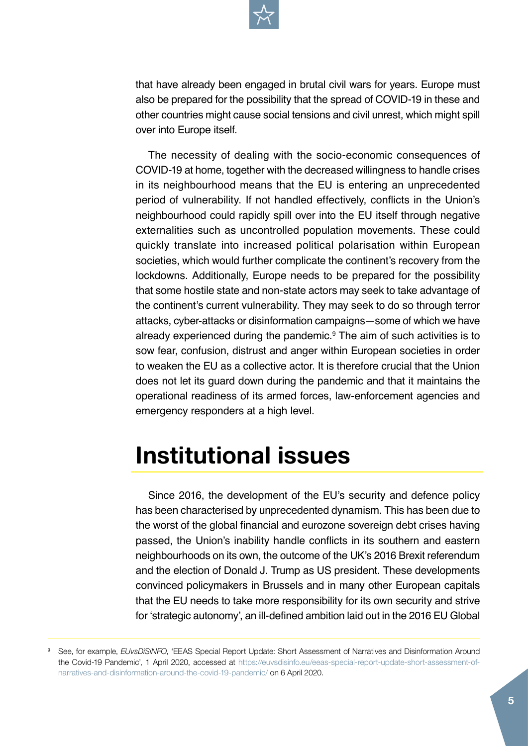

that have already been engaged in brutal civil wars for years. Europe must also be prepared for the possibility that the spread of COVID-19 in these and other countries might cause social tensions and civil unrest, which might spill over into Europe itself.

The necessity of dealing with the socio-economic consequences of COVID-19 at home, together with the decreased willingness to handle crises in its neighbourhood means that the EU is entering an unprecedented period of vulnerability. If not handled effectively, conflicts in the Union's neighbourhood could rapidly spill over into the EU itself through negative externalities such as uncontrolled population movements. These could quickly translate into increased political polarisation within European societies, which would further complicate the continent's recovery from the lockdowns. Additionally, Europe needs to be prepared for the possibility that some hostile state and non-state actors may seek to take advantage of the continent's current vulnerability. They may seek to do so through terror attacks, cyber-attacks or disinformation campaigns—some of which we have already experienced during the pandemic.<sup>9</sup> The aim of such activities is to sow fear, confusion, distrust and anger within European societies in order to weaken the EU as a collective actor. It is therefore crucial that the Union does not let its guard down during the pandemic and that it maintains the operational readiness of its armed forces, law-enforcement agencies and emergency responders at a high level.

#### **Institutional issues**

Since 2016, the development of the EU's security and defence policy has been characterised by unprecedented dynamism. This has been due to the worst of the global financial and eurozone sovereign debt crises having passed, the Union's inability handle conflicts in its southern and eastern neighbourhoods on its own, the outcome of the UK's 2016 Brexit referendum and the election of Donald J. Trump as US president. These developments convinced policymakers in Brussels and in many other European capitals that the EU needs to take more responsibility for its own security and strive for 'strategic autonomy', an ill-defined ambition laid out in the 2016 EU Global

<sup>9</sup> See, for example, *EUvsDiSiNFO*, 'EEAS Special Report Update: Short Assessment of Narratives and Disinformation Around the Covid-19 Pandemic', 1 April 2020, accessed at [https://euvsdisinfo.eu/eeas-special-report-update-short-assessment-of](https://euvsdisinfo.eu/eeas-special-report-update-short-assessment-of-narratives-and-disinformation-around-the-covid-19-pandemic/)[narratives-and-disinformation-around-the-covid-19-pandemic/](https://euvsdisinfo.eu/eeas-special-report-update-short-assessment-of-narratives-and-disinformation-around-the-covid-19-pandemic/) on 6 April 2020.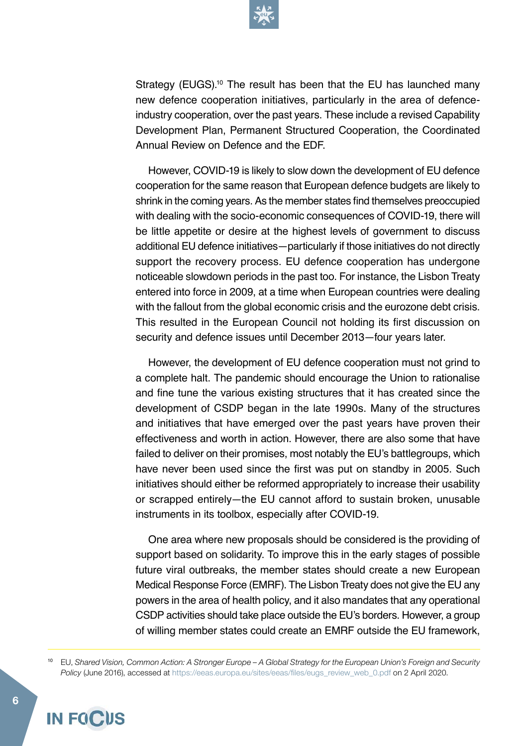

Strategy (EUGS).<sup>10</sup> The result has been that the EU has launched many new defence cooperation initiatives, particularly in the area of defenceindustry cooperation, over the past years. These include a revised Capability Development Plan, Permanent Structured Cooperation, the Coordinated Annual Review on Defence and the EDF.

However, COVID-19 is likely to slow down the development of EU defence cooperation for the same reason that European defence budgets are likely to shrink in the coming years. As the member states find themselves preoccupied with dealing with the socio-economic consequences of COVID-19, there will be little appetite or desire at the highest levels of government to discuss additional EU defence initiatives—particularly if those initiatives do not directly support the recovery process. EU defence cooperation has undergone noticeable slowdown periods in the past too. For instance, the Lisbon Treaty entered into force in 2009, at a time when European countries were dealing with the fallout from the global economic crisis and the eurozone debt crisis. This resulted in the European Council not holding its first discussion on security and defence issues until December 2013—four years later.

However, the development of EU defence cooperation must not grind to a complete halt. The pandemic should encourage the Union to rationalise and fine tune the various existing structures that it has created since the development of CSDP began in the late 1990s. Many of the structures and initiatives that have emerged over the past years have proven their effectiveness and worth in action. However, there are also some that have failed to deliver on their promises, most notably the EU's battlegroups, which have never been used since the first was put on standby in 2005. Such initiatives should either be reformed appropriately to increase their usability or scrapped entirely—the EU cannot afford to sustain broken, unusable instruments in its toolbox, especially after COVID-19.

One area where new proposals should be considered is the providing of support based on solidarity. To improve this in the early stages of possible future viral outbreaks, the member states should create a new European Medical Response Force (EMRF). The Lisbon Treaty does not give the EU any powers in the area of health policy, and it also mandates that any operational CSDP activities should take place outside the EU's borders. However, a group of willing member states could create an EMRF outside the EU framework,

<sup>10</sup> EU, *Shared Vision, Common Action: A Stronger Europe – A Global Strategy for the European Union's Foreign and Security Policy* (June 2016), accessed at [https://eeas.europa.eu/sites/eeas/files/eugs\\_review\\_web\\_0.pdf](https://eeas.europa.eu/sites/eeas/files/eugs_review_web_0.pdf) on 2 April 2020.

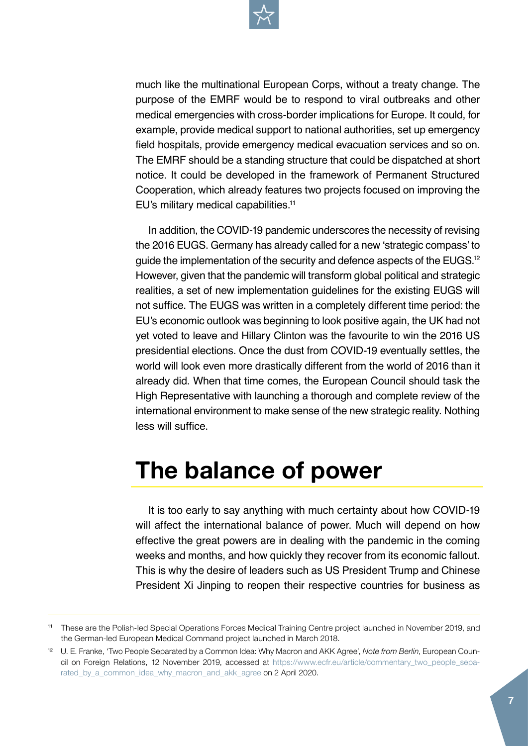

much like the multinational European Corps, without a treaty change. The purpose of the EMRF would be to respond to viral outbreaks and other medical emergencies with cross-border implications for Europe. It could, for example, provide medical support to national authorities, set up emergency field hospitals, provide emergency medical evacuation services and so on. The EMRF should be a standing structure that could be dispatched at short notice. It could be developed in the framework of Permanent Structured Cooperation, which already features two projects focused on improving the EU's military medical capabilities.<sup>11</sup>

In addition, the COVID-19 pandemic underscores the necessity of revising the 2016 EUGS. Germany has already called for a new 'strategic compass' to guide the implementation of the security and defence aspects of the EUGS.<sup>12</sup> However, given that the pandemic will transform global political and strategic realities, a set of new implementation guidelines for the existing EUGS will not suffice. The EUGS was written in a completely different time period: the EU's economic outlook was beginning to look positive again, the UK had not yet voted to leave and Hillary Clinton was the favourite to win the 2016 US presidential elections. Once the dust from COVID-19 eventually settles, the world will look even more drastically different from the world of 2016 than it already did. When that time comes, the European Council should task the High Representative with launching a thorough and complete review of the international environment to make sense of the new strategic reality. Nothing less will suffice.

# **The balance of power**

It is too early to say anything with much certainty about how COVID-19 will affect the international balance of power. Much will depend on how effective the great powers are in dealing with the pandemic in the coming weeks and months, and how quickly they recover from its economic fallout. This is why the desire of leaders such as US President Trump and Chinese President Xi Jinping to reopen their respective countries for business as

<sup>11</sup> These are the Polish-led Special Operations Forces Medical Training Centre project launched in November 2019, and the German-led European Medical Command project launched in March 2018.

<sup>12</sup> U. E. Franke, 'Two People Separated by a Common Idea: Why Macron and AKK Agree', *Note from Berlin*, European Council on Foreign Relations, 12 November 2019, accessed at [https://www.ecfr.eu/article/commentary\\_two\\_people\\_sepa](https://www.ecfr.eu/article/commentary_two_people_separated_by_a_common_idea_why_macron_and_akk_agree)[rated\\_by\\_a\\_common\\_idea\\_why\\_macron\\_and\\_akk\\_agree](https://www.ecfr.eu/article/commentary_two_people_separated_by_a_common_idea_why_macron_and_akk_agree) on 2 April 2020.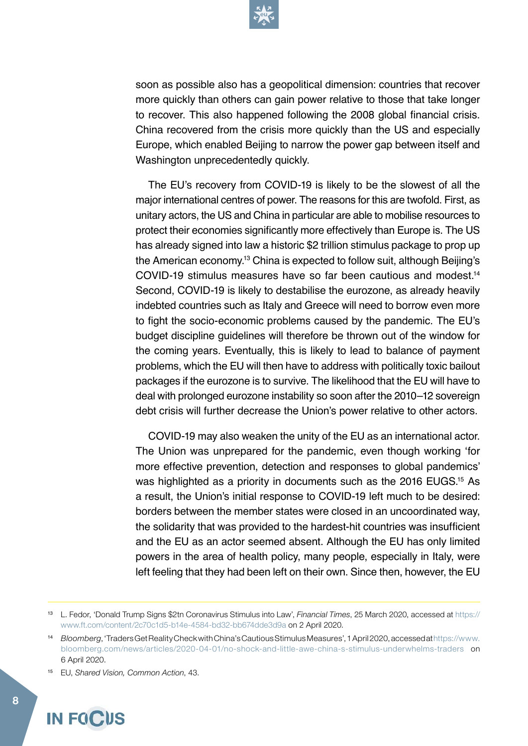

soon as possible also has a geopolitical dimension: countries that recover more quickly than others can gain power relative to those that take longer to recover. This also happened following the 2008 global financial crisis. China recovered from the crisis more quickly than the US and especially Europe, which enabled Beijing to narrow the power gap between itself and Washington unprecedentedly quickly.

The EU's recovery from COVID-19 is likely to be the slowest of all the major international centres of power. The reasons for this are twofold. First, as unitary actors, the US and China in particular are able to mobilise resources to protect their economies significantly more effectively than Europe is. The US has already signed into law a historic \$2 trillion stimulus package to prop up the American economy.13 China is expected to follow suit, although Beijing's COVID-19 stimulus measures have so far been cautious and modest.14 Second, COVID-19 is likely to destabilise the eurozone, as already heavily indebted countries such as Italy and Greece will need to borrow even more to fight the socio-economic problems caused by the pandemic. The EU's budget discipline guidelines will therefore be thrown out of the window for the coming years. Eventually, this is likely to lead to balance of payment problems, which the EU will then have to address with politically toxic bailout packages if the eurozone is to survive. The likelihood that the EU will have to deal with prolonged eurozone instability so soon after the 2010–12 sovereign debt crisis will further decrease the Union's power relative to other actors.

COVID-19 may also weaken the unity of the EU as an international actor. The Union was unprepared for the pandemic, even though working 'for more effective prevention, detection and responses to global pandemics' was highlighted as a priority in documents such as the 2016 EUGS.<sup>15</sup> As a result, the Union's initial response to COVID-19 left much to be desired: borders between the member states were closed in an uncoordinated way, the solidarity that was provided to the hardest-hit countries was insufficient and the EU as an actor seemed absent. Although the EU has only limited powers in the area of health policy, many people, especially in Italy, were left feeling that they had been left on their own. Since then, however, the EU

15 EU, *Shared Vision, Common Action*, 43.



<sup>13</sup> L. Fedor, 'Donald Trump Signs \$2tn Coronavirus Stimulus into Law', *Financial Times*, 25 March 2020, accessed at [https://](https://www.ft.com/content/2c70c1d5-b14e-4584-bd32-bb674dde3d9a) [www.ft.com/content/2c70c1d5-b14e-4584-bd32-bb674dde3d9a](https://www.ft.com/content/2c70c1d5-b14e-4584-bd32-bb674dde3d9a) on 2 April 2020.

<sup>14</sup> *Bloomberg*, 'Traders Get Reality Check with China's Cautious Stimulus Measures', 1 April 2020, accessed at [https://www.](https://www.bloomberg.com/news/articles/2020-04-01/no-shock-and-little-awe-china-s-stimulus-underwhelms-traders) [bloomberg.com/news/articles/2020-04-01/no-shock-and-little-awe-china-s-stimulus-underwhelms-traders](https://www.bloomberg.com/news/articles/2020-04-01/no-shock-and-little-awe-china-s-stimulus-underwhelms-traders) on 6 April 2020.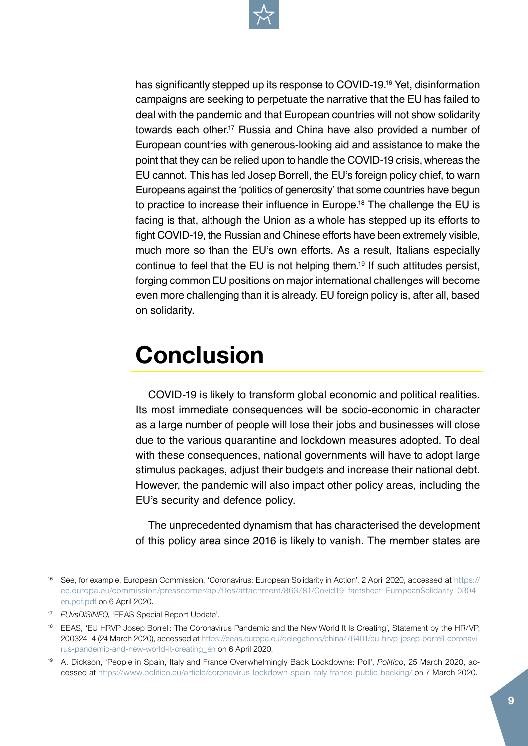

has significantly stepped up its response to COVID-19.16 Yet, disinformation campaigns are seeking to perpetuate the narrative that the EU has failed to deal with the pandemic and that European countries will not show solidarity towards each other.<sup>17</sup> Russia and China have also provided a number of European countries with generous-looking aid and assistance to make the point that they can be relied upon to handle the COVID-19 crisis, whereas the EU cannot. This has led Josep Borrell, the EU's foreign policy chief, to warn Europeans against the 'politics of generosity' that some countries have begun to practice to increase their influence in Europe.18 The challenge the EU is facing is that, although the Union as a whole has stepped up its efforts to fight COVID-19, the Russian and Chinese efforts have been extremely visible, much more so than the EU's own efforts. As a result, Italians especially continue to feel that the EU is not helping them.19 If such attitudes persist, forging common EU positions on major international challenges will become even more challenging than it is already. EU foreign policy is, after all, based on solidarity.

## **Conclusion**

COVID-19 is likely to transform global economic and political realities. Its most immediate consequences will be socio-economic in character as a large number of people will lose their jobs and businesses will close due to the various quarantine and lockdown measures adopted. To deal with these consequences, national governments will have to adopt large stimulus packages, adjust their budgets and increase their national debt. However, the pandemic will also impact other policy areas, including the EU's security and defence policy.

The unprecedented dynamism that has characterised the development of this policy area since 2016 is likely to vanish. The member states are

<sup>17</sup> *EUvsDiSiNFO*, 'EEAS Special Report Update'.

<sup>16</sup> See, for example, European Commission, 'Coronavirus: European Solidarity in Action', 2 April 2020, accessed at [https://](https://ec.europa.eu/commission/presscorner/api/files/attachment/863781/Covid19_factsheet_EuropeanSolidarity_0304_en.pdf.pdf) [ec.europa.eu/commission/presscorner/api/files/attachment/863781/Covid19\\_factsheet\\_EuropeanSolidarity\\_0304\\_](https://ec.europa.eu/commission/presscorner/api/files/attachment/863781/Covid19_factsheet_EuropeanSolidarity_0304_en.pdf.pdf) [en.pdf.pdf](https://ec.europa.eu/commission/presscorner/api/files/attachment/863781/Covid19_factsheet_EuropeanSolidarity_0304_en.pdf.pdf) on 6 April 2020.

<sup>18</sup> EEAS, 'EU HRVP Josep Borrell: The Coronavirus Pandemic and the New World It Is Creating', Statement by the HR/VP, 200324\_4 (24 March 2020), accessed at [https://eeas.europa.eu/delegations/china/76401/eu-hrvp-josep-borrell-coronavi](https://eeas.europa.eu/delegations/china/76401/eu-hrvp-josep-borrell-coronavirus-pandemic-and-new-world-it-creating_en)[rus-pandemic-and-new-world-it-creating\\_en](https://eeas.europa.eu/delegations/china/76401/eu-hrvp-josep-borrell-coronavirus-pandemic-and-new-world-it-creating_en) on 6 April 2020.

<sup>19</sup> A. Dickson, 'People in Spain, Italy and France Overwhelmingly Back Lockdowns: Poll', *Politico*, 25 March 2020, accessed at <https://www.politico.eu/article/coronavirus-lockdown-spain-italy-france-public-backing/>on 7 March 2020.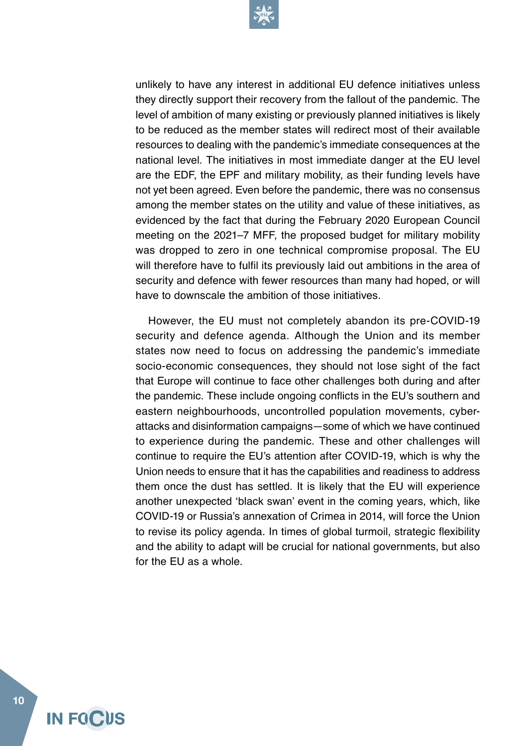

unlikely to have any interest in additional EU defence initiatives unless they directly support their recovery from the fallout of the pandemic. The level of ambition of many existing or previously planned initiatives is likely to be reduced as the member states will redirect most of their available resources to dealing with the pandemic's immediate consequences at the national level. The initiatives in most immediate danger at the EU level are the EDF, the EPF and military mobility, as their funding levels have not yet been agreed. Even before the pandemic, there was no consensus among the member states on the utility and value of these initiatives, as evidenced by the fact that during the February 2020 European Council meeting on the 2021–7 MFF, the proposed budget for military mobility was dropped to zero in one technical compromise proposal. The EU will therefore have to fulfil its previously laid out ambitions in the area of security and defence with fewer resources than many had hoped, or will have to downscale the ambition of those initiatives.

However, the EU must not completely abandon its pre-COVID-19 security and defence agenda. Although the Union and its member states now need to focus on addressing the pandemic's immediate socio-economic consequences, they should not lose sight of the fact that Europe will continue to face other challenges both during and after the pandemic. These include ongoing conflicts in the EU's southern and eastern neighbourhoods, uncontrolled population movements, cyberattacks and disinformation campaigns—some of which we have continued to experience during the pandemic. These and other challenges will continue to require the EU's attention after COVID-19, which is why the Union needs to ensure that it has the capabilities and readiness to address them once the dust has settled. It is likely that the EU will experience another unexpected 'black swan' event in the coming years, which, like COVID-19 or Russia's annexation of Crimea in 2014, will force the Union to revise its policy agenda. In times of global turmoil, strategic flexibility and the ability to adapt will be crucial for national governments, but also for the EU as a whole.

**10**